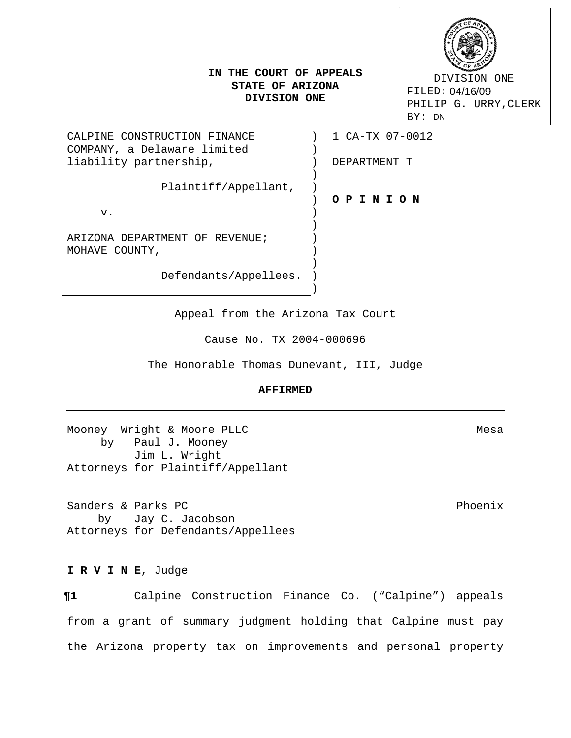# **IN THE COURT OF APPEALS STATE OF ARIZONA DIVISION ONE**

 DIVISION ONE FILED: 04/16/09 PHILIP G. URRY,CLERK FILED: 04/16/09<br>PHILIP G. URF<br>BY: DN

| CALPINE CONSTRUCTION FINANCE<br>COMPANY, a Delaware limited | 1 CA-TX 07-0012 |
|-------------------------------------------------------------|-----------------|
| liability partnership,                                      | DEPARTMENT T    |
| Plaintiff/Appellant,                                        |                 |
|                                                             | OPINION         |
| v.                                                          |                 |
|                                                             |                 |
| ARIZONA DEPARTMENT OF REVENUE;                              |                 |
| MOHAVE COUNTY,                                              |                 |
|                                                             |                 |
| Defendants/Appellees.                                       |                 |

Appeal from the Arizona Tax Court

 $\rightarrow$ 

Cause No. TX 2004-000696

The Honorable Thomas Dunevant, III, Judge

### **AFFIRMED**

Mooney Wright & Moore PLLC Mesa by Paul J. Mooney Jim L. Wright Attorneys for Plaintiff/Appellant

Sanders & Parks PC Phoenix by Jay C. Jacobson Attorneys for Defendants/Appellees

### **I R V I N E**, Judge

**¶1** Calpine Construction Finance Co. ("Calpine") appeals from a grant of summary judgment holding that Calpine must pay the Arizona property tax on improvements and personal property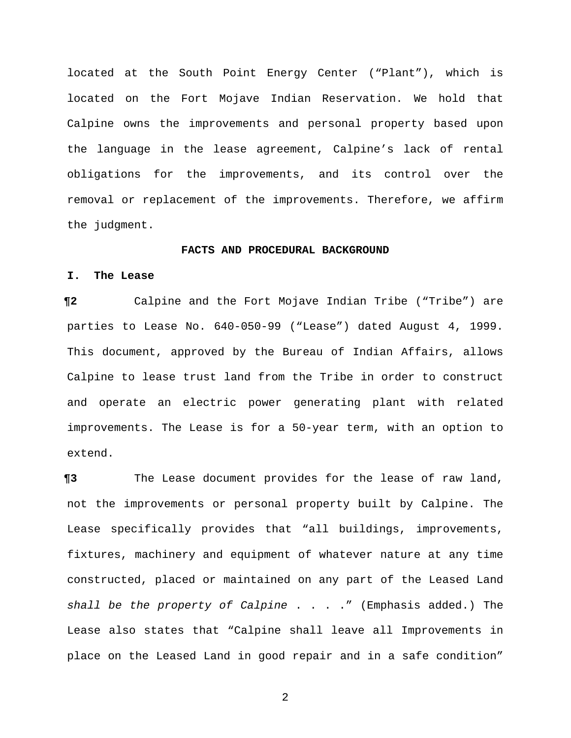located at the South Point Energy Center ("Plant"), which is located on the Fort Mojave Indian Reservation. We hold that Calpine owns the improvements and personal property based upon the language in the lease agreement, Calpine's lack of rental obligations for the improvements, and its control over the removal or replacement of the improvements. Therefore, we affirm the judgment.

#### **FACTS AND PROCEDURAL BACKGROUND**

### **I. The Lease**

**¶2** Calpine and the Fort Mojave Indian Tribe ("Tribe") are parties to Lease No. 640-050-99 ("Lease") dated August 4, 1999. This document, approved by the Bureau of Indian Affairs, allows Calpine to lease trust land from the Tribe in order to construct and operate an electric power generating plant with related improvements. The Lease is for a 50-year term, with an option to extend.

**¶3** The Lease document provides for the lease of raw land, not the improvements or personal property built by Calpine. The Lease specifically provides that "all buildings, improvements, fixtures, machinery and equipment of whatever nature at any time constructed, placed or maintained on any part of the Leased Land *shall be the property of Calpine* . . . ." (Emphasis added.) The Lease also states that "Calpine shall leave all Improvements in place on the Leased Land in good repair and in a safe condition"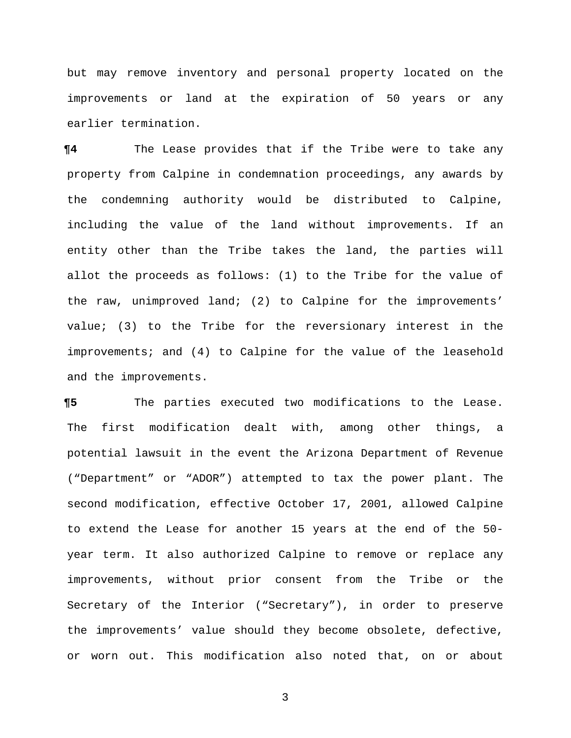but may remove inventory and personal property located on the improvements or land at the expiration of 50 years or any earlier termination.

**¶4** The Lease provides that if the Tribe were to take any property from Calpine in condemnation proceedings, any awards by the condemning authority would be distributed to Calpine, including the value of the land without improvements. If an entity other than the Tribe takes the land, the parties will allot the proceeds as follows: (1) to the Tribe for the value of the raw, unimproved land; (2) to Calpine for the improvements' value; (3) to the Tribe for the reversionary interest in the improvements; and (4) to Calpine for the value of the leasehold and the improvements.

**¶5** The parties executed two modifications to the Lease. The first modification dealt with, among other things, a potential lawsuit in the event the Arizona Department of Revenue ("Department" or "ADOR") attempted to tax the power plant. The second modification, effective October 17, 2001, allowed Calpine to extend the Lease for another 15 years at the end of the 50 year term. It also authorized Calpine to remove or replace any improvements, without prior consent from the Tribe or the Secretary of the Interior ("Secretary"), in order to preserve the improvements' value should they become obsolete, defective, or worn out. This modification also noted that, on or about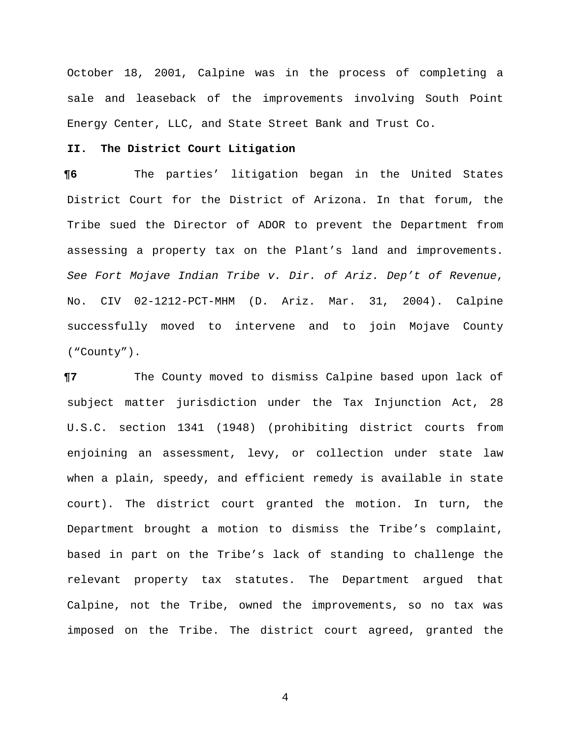October 18, 2001, Calpine was in the process of completing a sale and leaseback of the improvements involving South Point Energy Center, LLC, and State Street Bank and Trust Co.

# **II. The District Court Litigation**

**¶6** The parties' litigation began in the United States District Court for the District of Arizona. In that forum, the Tribe sued the Director of ADOR to prevent the Department from assessing a property tax on the Plant's land and improvements. *See Fort Mojave Indian Tribe v. Dir. of Ariz. Dep't of Revenue*, No. CIV 02-1212-PCT-MHM (D. Ariz. Mar. 31, 2004). Calpine successfully moved to intervene and to join Mojave County ("County").

**¶7** The County moved to dismiss Calpine based upon lack of subject matter jurisdiction under the Tax Injunction Act, 28 U.S.C. section 1341 (1948) (prohibiting district courts from enjoining an assessment, levy, or collection under state law when a plain, speedy, and efficient remedy is available in state court). The district court granted the motion. In turn, the Department brought a motion to dismiss the Tribe's complaint, based in part on the Tribe's lack of standing to challenge the relevant property tax statutes. The Department argued that Calpine, not the Tribe, owned the improvements, so no tax was imposed on the Tribe. The district court agreed, granted the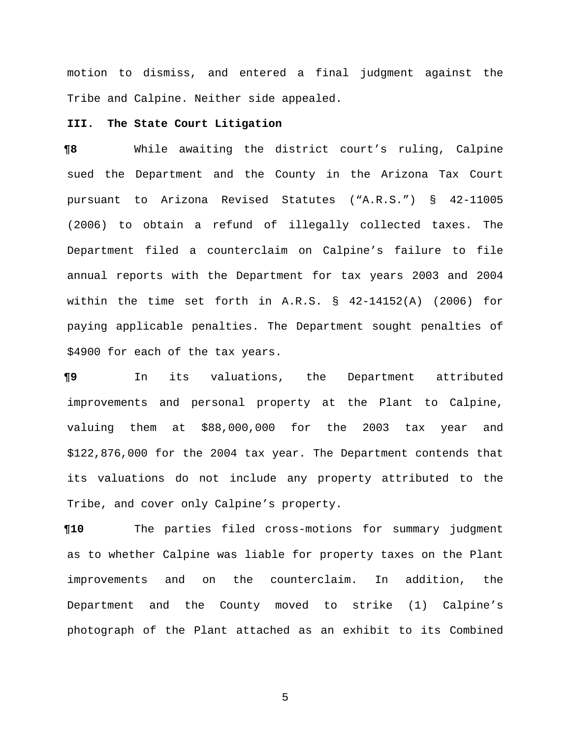motion to dismiss, and entered a final judgment against the Tribe and Calpine. Neither side appealed.

## **III. The State Court Litigation**

**¶8** While awaiting the district court's ruling, Calpine sued the Department and the County in the Arizona Tax Court pursuant to Arizona Revised Statutes ("A.R.S.") § 42-11005 (2006) to obtain a refund of illegally collected taxes. The Department filed a counterclaim on Calpine's failure to file annual reports with the Department for tax years 2003 and 2004 within the time set forth in A.R.S. § 42-14152(A) (2006) for paying applicable penalties. The Department sought penalties of \$4900 for each of the tax years.

**¶9** In its valuations, the Department attributed improvements and personal property at the Plant to Calpine, valuing them at \$88,000,000 for the 2003 tax year and \$122,876,000 for the 2004 tax year. The Department contends that its valuations do not include any property attributed to the Tribe, and cover only Calpine's property.

**¶10** The parties filed cross-motions for summary judgment as to whether Calpine was liable for property taxes on the Plant improvements and on the counterclaim. In addition, the Department and the County moved to strike (1) Calpine's photograph of the Plant attached as an exhibit to its Combined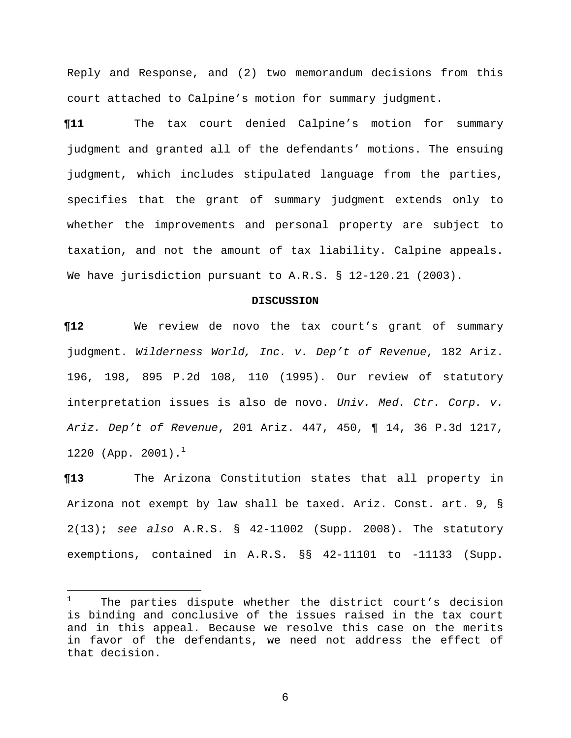Reply and Response, and (2) two memorandum decisions from this court attached to Calpine's motion for summary judgment.

**¶11** The tax court denied Calpine's motion for summary judgment and granted all of the defendants' motions. The ensuing judgment, which includes stipulated language from the parties, specifies that the grant of summary judgment extends only to whether the improvements and personal property are subject to taxation, and not the amount of tax liability. Calpine appeals. We have jurisdiction pursuant to A.R.S. § 12-120.21 (2003).

#### **DISCUSSION**

**¶12** We review de novo the tax court's grant of summary judgment. *Wilderness World, Inc. v. Dep't of Revenue*, 182 Ariz. 196, 198, 895 P.2d 108, 110 (1995). Our review of statutory interpretation issues is also de novo. *Univ. Med. Ctr. Corp. v. Ariz. Dep't of Revenue*, 201 Ariz. 447, 450, ¶ 14, 36 P.3d 1217, 1220 (App. 2001).<sup>1</sup>

**¶13** The Arizona Constitution states that all property in Arizona not exempt by law shall be taxed. Ariz. Const. art. 9, § 2(13); *see also* A.R.S. § 42-11002 (Supp. 2008). The statutory exemptions, contained in A.R.S. §§ 42-11101 to -11133 (Supp.

 $\frac{1}{1}$  The parties dispute whether the district court's decision is binding and conclusive of the issues raised in the tax court and in this appeal. Because we resolve this case on the merits in favor of the defendants, we need not address the effect of that decision.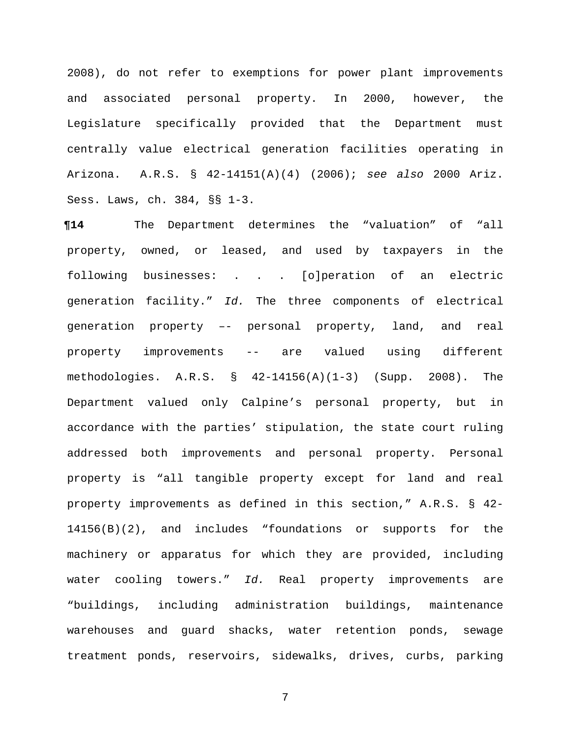2008), do not refer to exemptions for power plant improvements and associated personal property. In 2000, however, the Legislature specifically provided that the Department must centrally value electrical generation facilities operating in Arizona. A.R.S. § 42-14151(A)(4) (2006); *see also* 2000 Ariz. Sess. Laws, ch. 384, §§ 1-3.

**¶14** The Department determines the "valuation" of "all property, owned, or leased, and used by taxpayers in the following businesses: . . . [o]peration of an electric generation facility." *Id.* The three components of electrical generation property –- personal property, land, and real property improvements -- are valued using different methodologies. A.R.S. § 42-14156(A)(1-3) (Supp. 2008). The Department valued only Calpine's personal property, but in accordance with the parties' stipulation, the state court ruling addressed both improvements and personal property. Personal property is "all tangible property except for land and real property improvements as defined in this section," A.R.S. § 42- 14156(B)(2), and includes "foundations or supports for the machinery or apparatus for which they are provided, including water cooling towers." *Id.* Real property improvements are "buildings, including administration buildings, maintenance warehouses and guard shacks, water retention ponds, sewage treatment ponds, reservoirs, sidewalks, drives, curbs, parking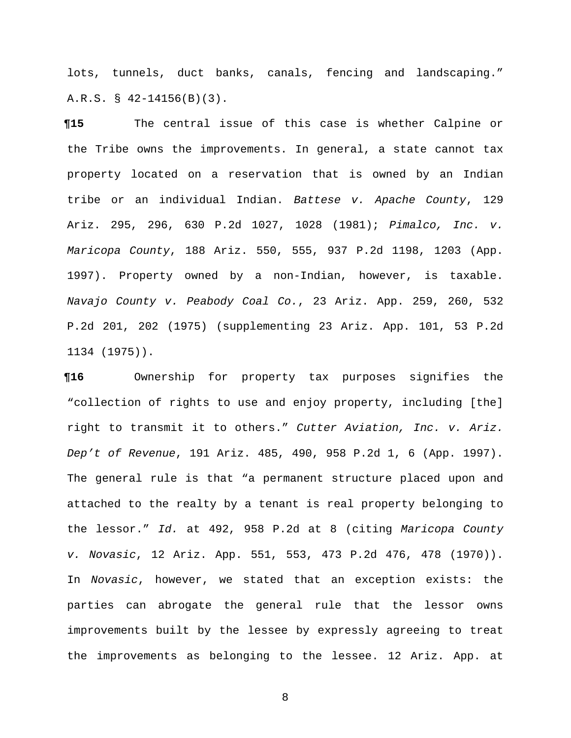lots, tunnels, duct banks, canals, fencing and landscaping." A.R.S. § 42-14156(B)(3).

**¶15** The central issue of this case is whether Calpine or the Tribe owns the improvements. In general, a state cannot tax property located on a reservation that is owned by an Indian tribe or an individual Indian. *Battese v. Apache County*, 129 Ariz. 295, 296, 630 P.2d 1027, 1028 (1981); *Pimalco, Inc. v. Maricopa County*, 188 Ariz. 550, 555, 937 P.2d 1198, 1203 (App. 1997). Property owned by a non-Indian, however, is taxable. *Navajo County v. Peabody Coal Co.*, 23 Ariz. App. 259, 260, 532 P.2d 201, 202 (1975) (supplementing 23 Ariz. App. 101, 53 P.2d 1134 (1975)).

**¶16** Ownership for property tax purposes signifies the "collection of rights to use and enjoy property, including [the] right to transmit it to others." *Cutter Aviation, Inc. v. Ariz. Dep't of Revenue*, 191 Ariz. 485, 490, 958 P.2d 1, 6 (App. 1997). The general rule is that "a permanent structure placed upon and attached to the realty by a tenant is real property belonging to the lessor." *Id.* at 492, 958 P.2d at 8 (citing *Maricopa County v. Novasic*, 12 Ariz. App. 551, 553, 473 P.2d 476, 478 (1970)). In *Novasic*, however, we stated that an exception exists: the parties can abrogate the general rule that the lessor owns improvements built by the lessee by expressly agreeing to treat the improvements as belonging to the lessee. 12 Ariz. App. at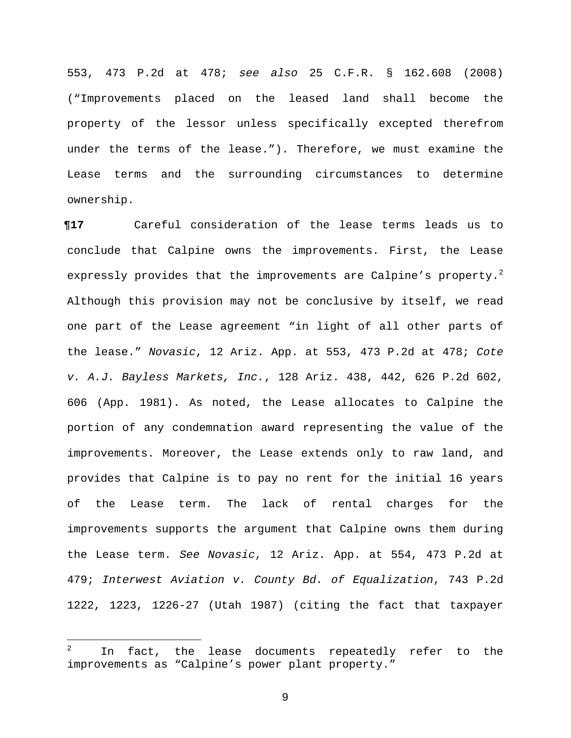553, 473 P.2d at 478; *see also* 25 C.F.R. § 162.608 (2008) ("Improvements placed on the leased land shall become the property of the lessor unless specifically excepted therefrom under the terms of the lease."). Therefore, we must examine the Lease terms and the surrounding circumstances to determine ownership.

**¶17** Careful consideration of the lease terms leads us to conclude that Calpine owns the improvements. First, the Lease expressly provides that the improvements are Calpine's property.<sup>2</sup> Although this provision may not be conclusive by itself, we read one part of the Lease agreement "in light of all other parts of the lease." *Novasic*, 12 Ariz. App. at 553, 473 P.2d at 478; *Cote v. A.J. Bayless Markets, Inc.*, 128 Ariz. 438, 442, 626 P.2d 602, 606 (App. 1981). As noted, the Lease allocates to Calpine the portion of any condemnation award representing the value of the improvements. Moreover, the Lease extends only to raw land, and provides that Calpine is to pay no rent for the initial 16 years of the Lease term. The lack of rental charges for the improvements supports the argument that Calpine owns them during the Lease term. *See Novasic*, 12 Ariz. App. at 554, 473 P.2d at 479; *Interwest Aviation v. County Bd. of Equalization*, 743 P.2d 1222, 1223, 1226-27 (Utah 1987) (citing the fact that taxpayer

 $\overline{\phantom{0}}$ 

<sup>2</sup> In fact, the lease documents repeatedly refer to the improvements as "Calpine's power plant property."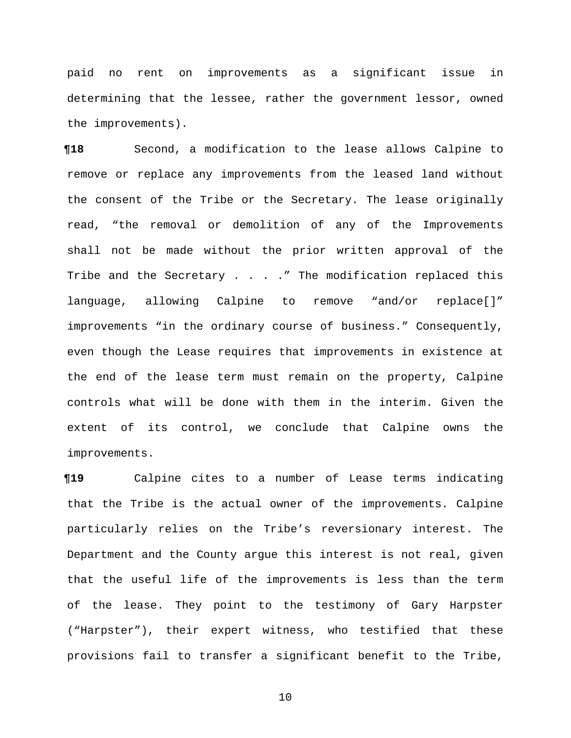paid no rent on improvements as a significant issue in determining that the lessee, rather the government lessor, owned the improvements).

**¶18** Second, a modification to the lease allows Calpine to remove or replace any improvements from the leased land without the consent of the Tribe or the Secretary. The lease originally read, "the removal or demolition of any of the Improvements shall not be made without the prior written approval of the Tribe and the Secretary  $\ldots$  . . . " The modification replaced this language, allowing Calpine to remove "and/or replace[]" improvements "in the ordinary course of business." Consequently, even though the Lease requires that improvements in existence at the end of the lease term must remain on the property, Calpine controls what will be done with them in the interim. Given the extent of its control, we conclude that Calpine owns the improvements.

**¶19** Calpine cites to a number of Lease terms indicating that the Tribe is the actual owner of the improvements. Calpine particularly relies on the Tribe's reversionary interest. The Department and the County argue this interest is not real, given that the useful life of the improvements is less than the term of the lease. They point to the testimony of Gary Harpster ("Harpster"), their expert witness, who testified that these provisions fail to transfer a significant benefit to the Tribe,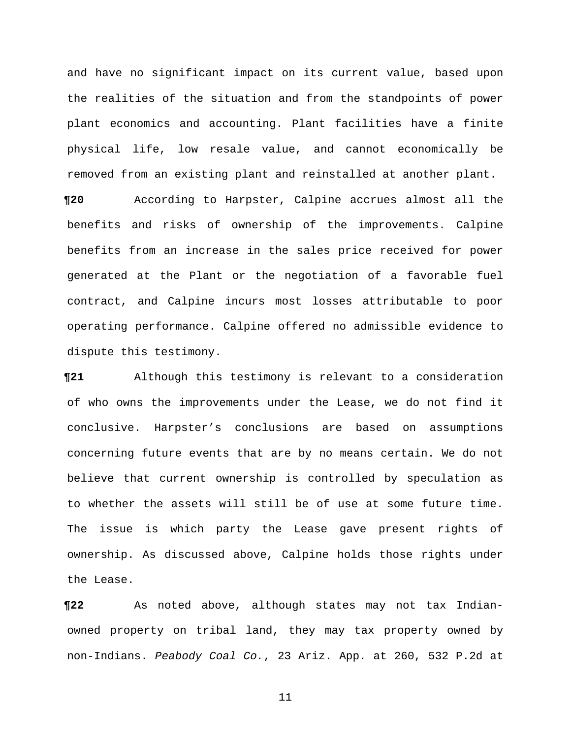and have no significant impact on its current value, based upon the realities of the situation and from the standpoints of power plant economics and accounting. Plant facilities have a finite physical life, low resale value, and cannot economically be removed from an existing plant and reinstalled at another plant.

**¶20** According to Harpster, Calpine accrues almost all the benefits and risks of ownership of the improvements. Calpine benefits from an increase in the sales price received for power generated at the Plant or the negotiation of a favorable fuel contract, and Calpine incurs most losses attributable to poor operating performance. Calpine offered no admissible evidence to dispute this testimony.

**¶21** Although this testimony is relevant to a consideration of who owns the improvements under the Lease, we do not find it conclusive. Harpster's conclusions are based on assumptions concerning future events that are by no means certain. We do not believe that current ownership is controlled by speculation as to whether the assets will still be of use at some future time. The issue is which party the Lease gave present rights of ownership. As discussed above, Calpine holds those rights under the Lease.

**¶22** As noted above, although states may not tax Indianowned property on tribal land, they may tax property owned by non-Indians. *Peabody Coal Co.*, 23 Ariz. App. at 260, 532 P.2d at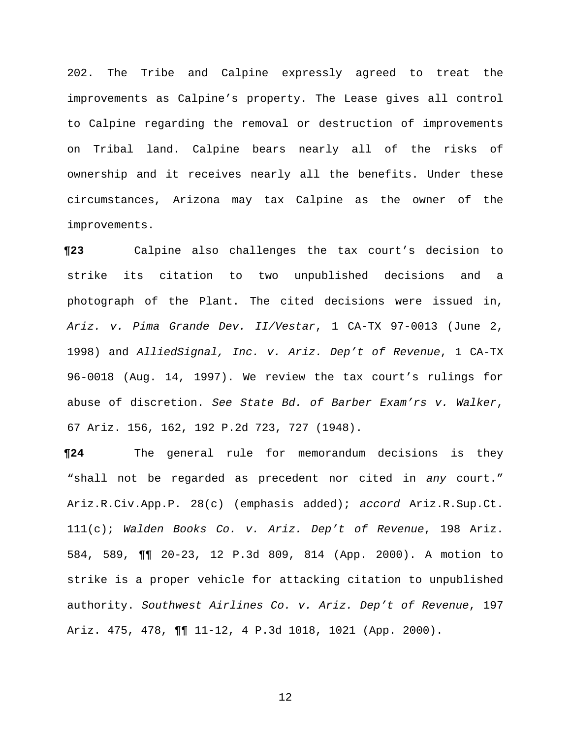202. The Tribe and Calpine expressly agreed to treat the improvements as Calpine's property. The Lease gives all control to Calpine regarding the removal or destruction of improvements on Tribal land. Calpine bears nearly all of the risks of ownership and it receives nearly all the benefits. Under these circumstances, Arizona may tax Calpine as the owner of the improvements.

**¶23** Calpine also challenges the tax court's decision to strike its citation to two unpublished decisions and a photograph of the Plant. The cited decisions were issued in, *Ariz. v. Pima Grande Dev. II/Vestar*, 1 CA-TX 97-0013 (June 2, 1998) and *AlliedSignal, Inc. v. Ariz. Dep't of Revenue*, 1 CA-TX 96-0018 (Aug. 14, 1997). We review the tax court's rulings for abuse of discretion. *See State Bd. of Barber Exam'rs v. Walker*, 67 Ariz. 156, 162, 192 P.2d 723, 727 (1948).

**¶24** The general rule for memorandum decisions is they "shall not be regarded as precedent nor cited in *any* court." Ariz.R.Civ.App.P. 28(c) (emphasis added); *accord* Ariz.R.Sup.Ct. 111(c); *Walden Books Co. v. Ariz. Dep't of Revenue*, 198 Ariz. 584, 589, ¶¶ 20-23, 12 P.3d 809, 814 (App. 2000). A motion to strike is a proper vehicle for attacking citation to unpublished authority. *Southwest Airlines Co. v. Ariz. Dep't of Revenue*, 197 Ariz. 475, 478, ¶¶ 11-12, 4 P.3d 1018, 1021 (App. 2000).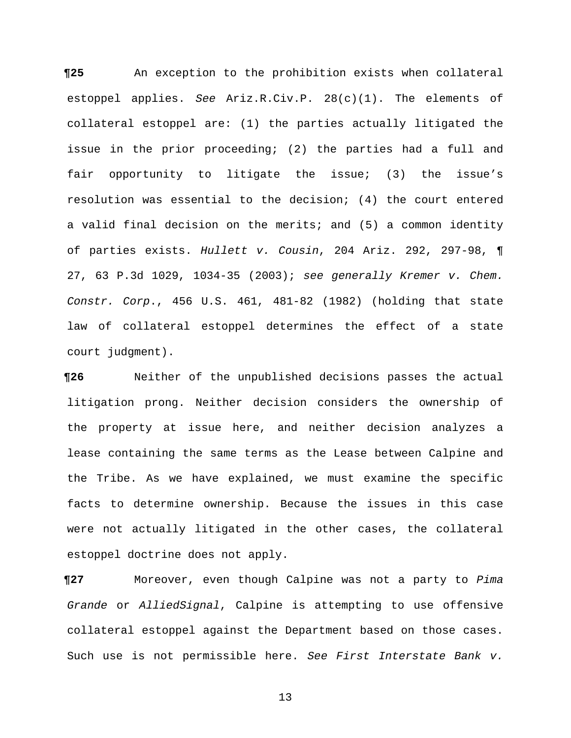**¶25** An exception to the prohibition exists when collateral estoppel applies. *See* Ariz.R.Civ.P. 28(c)(1). The elements of collateral estoppel are: (1) the parties actually litigated the issue in the prior proceeding; (2) the parties had a full and fair opportunity to litigate the issue; (3) the issue's resolution was essential to the decision; (4) the court entered a valid final decision on the merits; and (5) a common identity of parties exists. *Hullett v. Cousin*, 204 Ariz. 292, 297-98, ¶ 27, 63 P.3d 1029, 1034-35 (2003); *see generally Kremer v. Chem. Constr. Corp*., 456 U.S. 461, 481-82 (1982) (holding that state law of collateral estoppel determines the effect of a state court judgment).

**¶26** Neither of the unpublished decisions passes the actual litigation prong. Neither decision considers the ownership of the property at issue here, and neither decision analyzes a lease containing the same terms as the Lease between Calpine and the Tribe. As we have explained, we must examine the specific facts to determine ownership. Because the issues in this case were not actually litigated in the other cases, the collateral estoppel doctrine does not apply.

**¶27** Moreover, even though Calpine was not a party to *Pima Grande* or *AlliedSignal*, Calpine is attempting to use offensive collateral estoppel against the Department based on those cases. Such use is not permissible here. *See First Interstate Bank v.*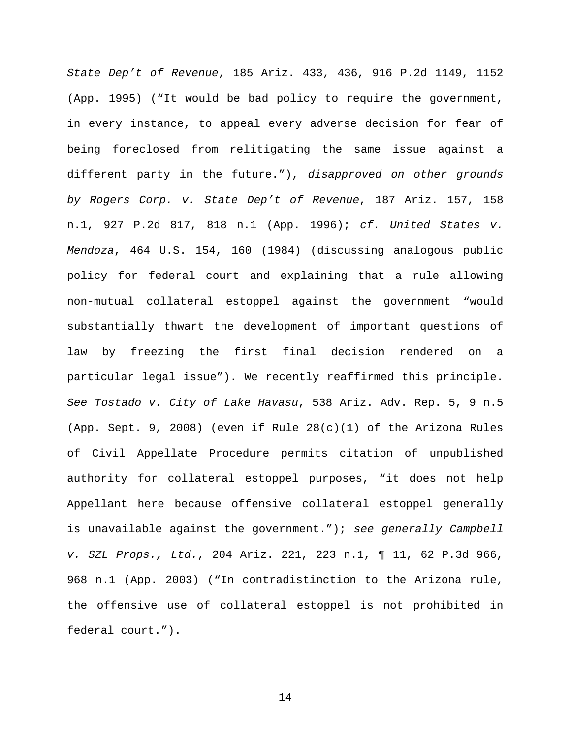*State Dep't of Revenue*, 185 Ariz. 433, 436, 916 P.2d 1149, 1152 (App. 1995) ("It would be bad policy to require the government, in every instance, to appeal every adverse decision for fear of being foreclosed from relitigating the same issue against a different party in the future."), *disapproved on other grounds by Rogers Corp. v. State Dep't of Revenue*, 187 Ariz. 157, 158 n.1, 927 P.2d 817, 818 n.1 (App. 1996); *cf. United States v. Mendoza*, 464 U.S. 154, 160 (1984) (discussing analogous public policy for federal court and explaining that a rule allowing non-mutual collateral estoppel against the government "would substantially thwart the development of important questions of law by freezing the first final decision rendered on a particular legal issue"). We recently reaffirmed this principle. *See Tostado v. City of Lake Havasu*, 538 Ariz. Adv. Rep. 5, 9 n.5 (App. Sept. 9, 2008) (even if Rule  $28(c)(1)$  of the Arizona Rules of Civil Appellate Procedure permits citation of unpublished authority for collateral estoppel purposes, "it does not help Appellant here because offensive collateral estoppel generally is unavailable against the government."); *see generally Campbell v. SZL Props., Ltd.*, 204 Ariz. 221, 223 n.1, ¶ 11, 62 P.3d 966, 968 n.1 (App. 2003) ("In contradistinction to the Arizona rule, the offensive use of collateral estoppel is not prohibited in federal court.").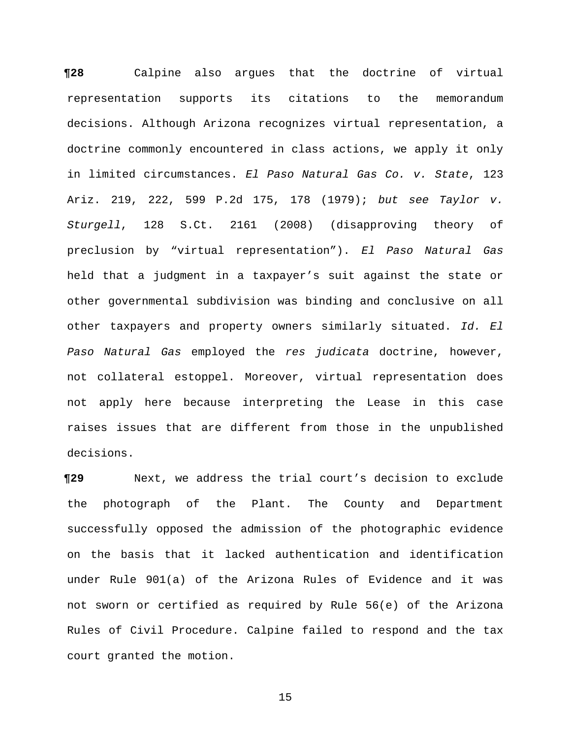**¶28** Calpine also argues that the doctrine of virtual representation supports its citations to the memorandum decisions. Although Arizona recognizes virtual representation, a doctrine commonly encountered in class actions, we apply it only in limited circumstances. *El Paso Natural Gas Co. v. State*, 123 Ariz. 219, 222, 599 P.2d 175, 178 (1979); *but see Taylor v. Sturgell*, 128 S.Ct. 2161 (2008) (disapproving theory of preclusion by "virtual representation"). *El Paso Natural Gas* held that a judgment in a taxpayer's suit against the state or other governmental subdivision was binding and conclusive on all other taxpayers and property owners similarly situated. *Id. El Paso Natural Gas* employed the *res judicata* doctrine, however, not collateral estoppel. Moreover, virtual representation does not apply here because interpreting the Lease in this case raises issues that are different from those in the unpublished decisions.

**¶29** Next, we address the trial court's decision to exclude the photograph of the Plant. The County and Department successfully opposed the admission of the photographic evidence on the basis that it lacked authentication and identification under Rule 901(a) of the Arizona Rules of Evidence and it was not sworn or certified as required by Rule 56(e) of the Arizona Rules of Civil Procedure. Calpine failed to respond and the tax court granted the motion.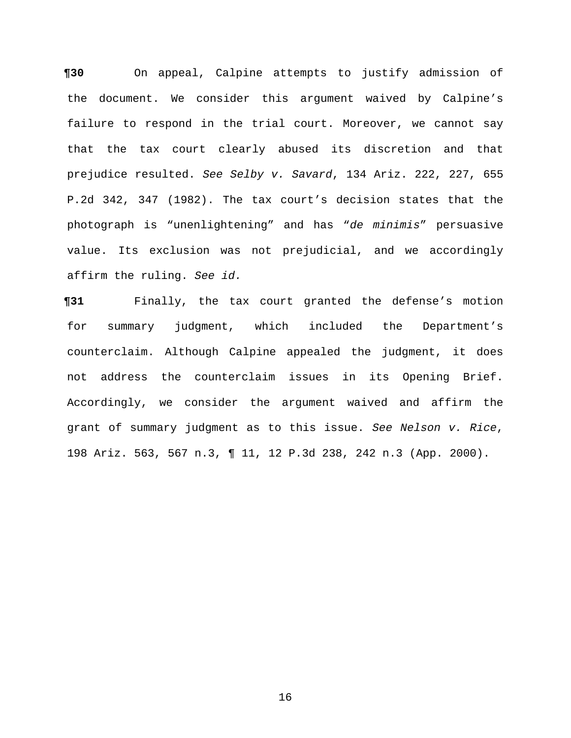**¶30** On appeal, Calpine attempts to justify admission of the document. We consider this argument waived by Calpine's failure to respond in the trial court. Moreover, we cannot say that the tax court clearly abused its discretion and that prejudice resulted. *See Selby v. Savard*, 134 Ariz. 222, 227, 655 P.2d 342, 347 (1982). The tax court's decision states that the photograph is "unenlightening" and has "*de minimis*" persuasive value. Its exclusion was not prejudicial, and we accordingly affirm the ruling. *See id.*

**¶31** Finally, the tax court granted the defense's motion for summary judgment, which included the Department's counterclaim. Although Calpine appealed the judgment, it does not address the counterclaim issues in its Opening Brief. Accordingly, we consider the argument waived and affirm the grant of summary judgment as to this issue. *See Nelson v. Rice*, 198 Ariz. 563, 567 n.3, ¶ 11, 12 P.3d 238, 242 n.3 (App. 2000).